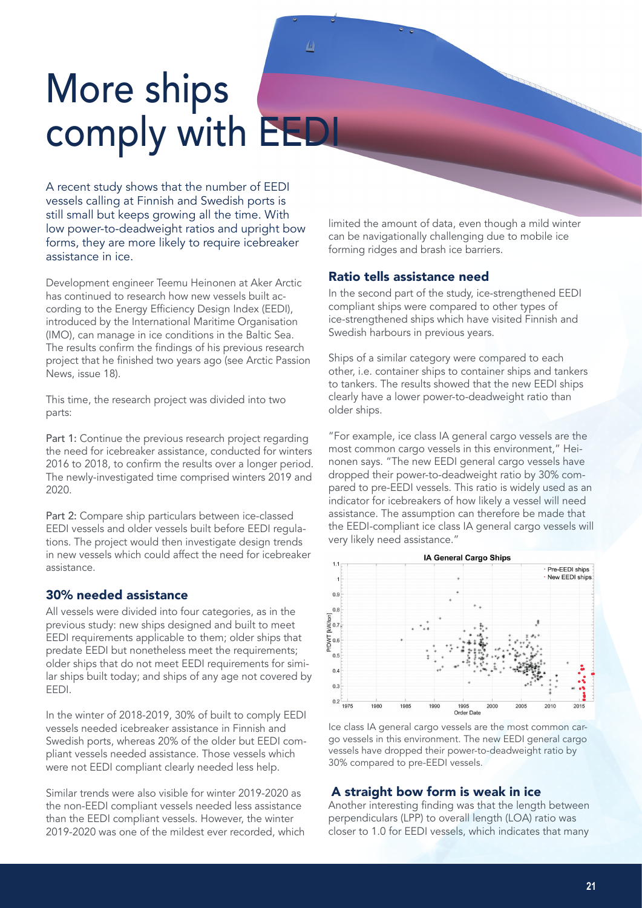# More ships comply with EEDI

A recent study shows that the number of EEDI vessels calling at Finnish and Swedish ports is still small but keeps growing all the time. With low power-to-deadweight ratios and upright bow forms, they are more likely to require icebreaker assistance in ice.

Development engineer Teemu Heinonen at Aker Arctic has continued to research how new vessels built according to the Energy Efficiency Design Index (EEDI), introduced by the International Maritime Organisation (IMO), can manage in ice conditions in the Baltic Sea. The results confirm the findings of his previous research project that he finished two years ago (see Arctic Passion News, issue 18).

This time, the research project was divided into two parts:

Part 1: Continue the previous research project regarding the need for icebreaker assistance, conducted for winters 2016 to 2018, to confirm the results over a longer period. The newly-investigated time comprised winters 2019 and 2020.

Part 2: Compare ship particulars between ice-classed EEDI vessels and older vessels built before EEDI regulations. The project would then investigate design trends in new vessels which could affect the need for icebreaker assistance.

#### 30% needed assistance

All vessels were divided into four categories, as in the previous study: new ships designed and built to meet EEDI requirements applicable to them; older ships that predate EEDI but nonetheless meet the requirements; older ships that do not meet EEDI requirements for similar ships built today; and ships of any age not covered by EEDI.

In the winter of 2018-2019, 30% of built to comply EEDI vessels needed icebreaker assistance in Finnish and Swedish ports, whereas 20% of the older but EEDI compliant vessels needed assistance. Those vessels which were not EEDI compliant clearly needed less help.

Similar trends were also visible for winter 2019-2020 as the non-EEDI compliant vessels needed less assistance than the EEDI compliant vessels. However, the winter 2019-2020 was one of the mildest ever recorded, which limited the amount of data, even though a mild winter can be navigationally challenging due to mobile ice forming ridges and brash ice barriers.

### Ratio tells assistance need

In the second part of the study, ice-strengthened EEDI compliant ships were compared to other types of ice-strengthened ships which have visited Finnish and Swedish harbours in previous years.

Ships of a similar category were compared to each other, i.e. container ships to container ships and tankers to tankers. The results showed that the new EEDI ships clearly have a lower power-to-deadweight ratio than older ships.

"For example, ice class IA general cargo vessels are the most common cargo vessels in this environment," Heinonen says. "The new EEDI general cargo vessels have dropped their power-to-deadweight ratio by 30% compared to pre-EEDI vessels. This ratio is widely used as an indicator for icebreakers of how likely a vessel will need assistance. The assumption can therefore be made that the EEDI-compliant ice class IA general cargo vessels will very likely need assistance."



Ice class IA general cargo vessels are the most common cargo vessels in this environment. The new EEDI general cargo vessels have dropped their power-to-deadweight ratio by 30% compared to pre-EEDI vessels.

## A straight bow form is weak in ice

Another interesting finding was that the length between perpendiculars (LPP) to overall length (LOA) ratio was closer to 1.0 for EEDI vessels, which indicates that many